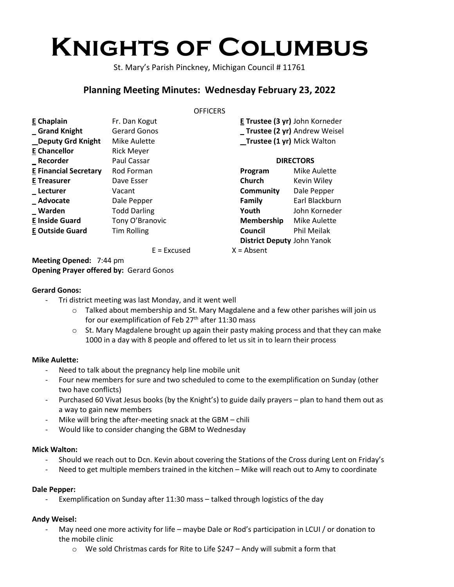# **Knights of Columbus**

St. Mary's Parish Pinckney, Michigan Council # 11761

# **Planning Meeting Minutes: Wednesday February 23, 2022**

#### **OFFICERS**

| E Chaplain                   | Fr. Dan Kogut       |
|------------------------------|---------------------|
| <b>Grand Knight</b>          | <b>Gerard Gonos</b> |
| _Deputy Grd Knight           | Mike Aulette        |
| <b>E</b> Chancellor          | <b>Rick Meyer</b>   |
| Recorder                     | Paul Cassar         |
| <b>E Financial Secretary</b> | Rod Forman          |
| <b>E</b> Treasurer           | Dave Esser          |
| Lecturer                     | Vacant              |
| Advocate                     | Dale Pepper         |
| Warden                       | <b>Todd Darling</b> |
| <b>E Inside Guard</b>        | Tony O'Branovic     |
| <b>E Outside Guard</b>       | <b>Tim Rolling</b>  |
|                              |                     |

 $E = Excused$  X

**E Trustee (3 yr)** John Korneder **\_ Trustee (2 yr)** Andrew Weisel **\_ Trustee (1 yr)** Mick Walton

| <b>DIRECTORS</b>                  |                |
|-----------------------------------|----------------|
| Program                           | Mike Aulette   |
| Church                            | Kevin Wiley    |
| Community                         | Dale Pepper    |
| Family                            | Earl Blackburn |
| Youth                             | John Korneder  |
| Membership                        | Mike Aulette   |
| Council                           | Phil Meilak    |
| <b>District Deputy John Yanok</b> |                |
| = Absent                          |                |

**Meeting Opened:** 7:44 pm **Opening Prayer offered by:** Gerard Gonos

# **Gerard Gonos:**

- Tri district meeting was last Monday, and it went well
	- $\circ$  Talked about membership and St. Mary Magdalene and a few other parishes will join us for our exemplification of Feb 27<sup>th</sup> after 11:30 mass
	- o St. Mary Magdalene brought up again their pasty making process and that they can make 1000 in a day with 8 people and offered to let us sit in to learn their process

# **Mike Aulette:**

- Need to talk about the pregnancy help line mobile unit
- Four new members for sure and two scheduled to come to the exemplification on Sunday (other two have conflicts)
- Purchased 60 Vivat Jesus books (by the Knight's) to guide daily prayers plan to hand them out as a way to gain new members
- Mike will bring the after-meeting snack at the GBM chili
- Would like to consider changing the GBM to Wednesday

#### **Mick Walton:**

- Should we reach out to Dcn. Kevin about covering the Stations of the Cross during Lent on Friday's
- Need to get multiple members trained in the kitchen Mike will reach out to Amy to coordinate

#### **Dale Pepper:**

Exemplification on Sunday after 11:30 mass - talked through logistics of the day

# **Andy Weisel:**

- May need one more activity for life maybe Dale or Rod's participation in LCUI / or donation to the mobile clinic
	- o We sold Christmas cards for Rite to Life \$247 Andy will submit a form that